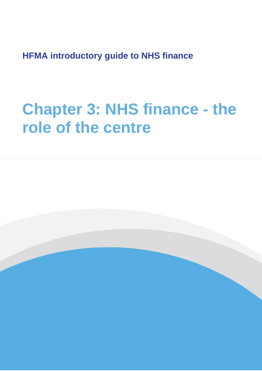**HFMA introductory guide to NHS finance**

# **Chapter 3: NHS finance - the role of the centre**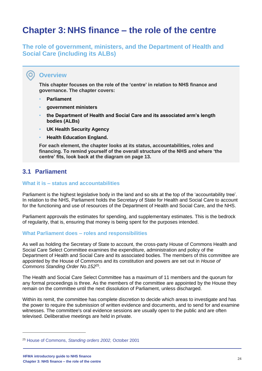## **Chapter 3: NHS finance – the role of the centre**

**The role of government, ministers, and the Department of Health and Social Care (including its ALBs)**

## **Overview**

**O** 

**This chapter focuses on the role of the 'centre' in relation to NHS finance and governance. The chapter covers:** 

- **Parliament**
- **government ministers**
- **the Department of Health and Social Care and its associated arm's length bodies (ALBs)**
- **UK Health Security Agency**
- **Health Education England.**

**For each element, the chapter looks at its status, accountabilities, roles and financing. To remind yourself of the overall structure of the NHS and where 'the centre' fits, look back at the diagram on page 13.**

## **3.1 Parliament**

#### **What it is – status and accountabilities**

Parliament is the highest legislative body in the land and so sits at the top of the 'accountability tree'. In relation to the NHS, Parliament holds the Secretary of State for Health and Social Care to account for the functioning and use of resources of the Department of Health and Social Care, and the NHS.

Parliament approvals the estimates for spending, and supplementary estimates. This is the bedrock of regularity, that is, ensuring that money is being spent for the purposes intended.

#### **What Parliament does – roles and responsibilities**

As well as holding the Secretary of State to account, the cross-party House of Commons Health and Social Care Select Committee examines the expenditure, administration and policy of the Department of Health and Social Care and its associated bodies. The members of this committee are appointed by the House of Commons and its constitution and powers are set out in *House of Commons Standing Order No.152*<sup>25</sup> .

The Health and Social Care Select Committee has a maximum of 11 members and the quorum for any formal proceedings is three. As the members of the committee are appointed by the House they remain on the committee until the next dissolution of Parliament, unless discharged.

Within its remit, the committee has complete discretion to decide which areas to investigate and has the power to require the submission of written evidence and documents, and to send for and examine witnesses. The committee's oral evidence sessions are usually open to the public and are often televised. Deliberative meetings are held in private.

<sup>25</sup> House of Commons, *[Standing orders 2002,](https://publications.parliament.uk/pa/cm200102/cmstords/old275/27519.htm)* October 2001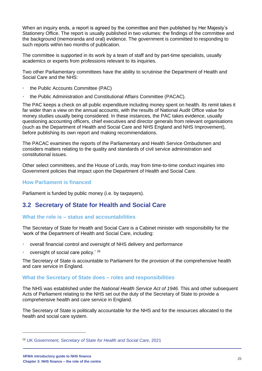When an inquiry ends, a report is agreed by the committee and then published by Her Majesty's Stationery Office. The report is usually published in two volumes: the findings of the committee and the background (memoranda and oral) evidence. The government is committed to responding to such reports within two months of publication.

The committee is supported in its work by a team of staff and by part-time specialists, usually academics or experts from professions relevant to its inquiries.

Two other Parliamentary committees have the ability to scrutinise the Department of Health and Social Care and the NHS:

- the Public Accounts Committee (PAC)
- the Public Administration and Constitutional Affairs Committee (PACAC).

The PAC keeps a check on all public expenditure including money spent on health. Its remit takes it far wider than a view on the annual accounts, with the results of National Audit Office value for money studies usually being considered. In these instances, the PAC takes evidence, usually questioning accounting officers, chief executives and director generals from relevant organisations (such as the Department of Health and Social Care and NHS England and NHS Improvement), before publishing its own report and making recommendations.

The PACAC examines the reports of the Parliamentary and Health Service Ombudsmen and considers matters relating to the quality and standards of civil service administration and constitutional issues.

Other select committees, and the House of Lords, may from time-to-time conduct inquiries into Government policies that impact upon the Department of Health and Social Care.

#### **How Parliament is financed**

Parliament is funded by public money (i.e. by taxpayers).

## **3.2 Secretary of State for Health and Social Care**

#### **What the role is – status and accountabilities**

The Secretary of State for Health and Social Care is a Cabinet minister with responsibility for the 'work of the Department of Health and Social Care, including:

- overall financial control and oversight of NHS delivery and performance
- oversight of social care policy.' 26

The Secretary of State is accountable to Parliament for the provision of the comprehensive health and care service in England.

#### **What the Secretary of State does – roles and responsibilities**

The NHS was established under the *National Health Service Act of 1946*. This and other subsequent Acts of Parliament relating to the NHS set out the duty of the Secretary of State to provide a comprehensive health and care service in England.

The Secretary of State is politically accountable for the NHS and for the resources allocated to the health and social care system.

<sup>26</sup> UK Government, *[Secretary of State for Health and Social Care](https://www.gov.uk/government/ministers/secretary-of-state-for-health-and-social-care)*, 2021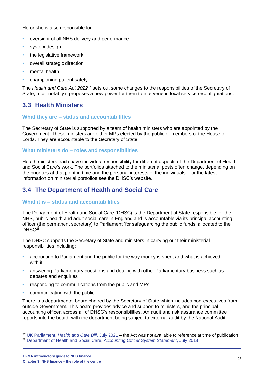He or she is also responsible for:

- oversight of all NHS delivery and performance
- system design
- the legislative framework
- overall strategic direction
- mental health
- championing patient safety.

The *Health and Care Act 2022*<sup>27</sup> sets out some changes to the responsibilities of the Secretary of State, most notably it proposes a new power for them to intervene in local service reconfigurations.

## **3.3 Health Ministers**

#### **What they are – status and accountabilities**

The Secretary of State is supported by a team of health ministers who are appointed by the Government. These ministers are either MPs elected by the public or members of the House of Lords. They are accountable to the Secretary of State.

#### **What ministers do – roles and responsibilities**

Health ministers each have individual responsibility for different aspects of the Department of Health and Social Care's work. The portfolios attached to the ministerial posts often change, depending on the priorities at that point in time and the personal interests of the individuals. For the latest information on ministerial portfolios see the DHSC's website.

## **3.4 The Department of Health and Social Care**

#### **What it is – status and accountabilities**

The Department of Health and Social Care (DHSC) is the Department of State responsible for the NHS, public health and adult social care in England and is accountable via its principal accounting officer (the permanent secretary) to Parliament 'for safeguarding the public funds' allocated to the  $DHSC<sup>28</sup>$ .

The DHSC supports the Secretary of State and ministers in carrying out their ministerial responsibilities including:

- accounting to Parliament and the public for the way money is spent and what is achieved with it
- answering Parliamentary questions and dealing with other Parliamentary business such as debates and enquiries
- responding to communications from the public and MPs
- communicating with the public.

There is a departmental board chaired by the Secretary of State which includes non-executives from outside Government. This board provides advice and support to ministers, and the principal accounting officer, across all of DHSC's responsibilities. An audit and risk assurance committee reports into the board, with the department being subject to external audit by the National Audit

<sup>27</sup> UK Parliament, *[Health and Care Bill](https://bills.parliament.uk/bills/3022)*, July 2021 – the Act was not available to reference at time of publication

<sup>28</sup> [Department of Health and Social Care, A](https://assets.publishing.service.gov.uk/government/uploads/system/uploads/attachment_data/file/725446/DHSC_Accounting_Officer_System_Statement_July_2018.pdf)*ccounting Officer System Statement*, July 2018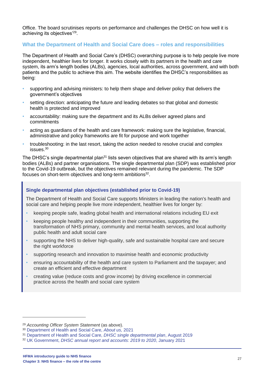Office. The board scrutinises reports on performance and challenges the DHSC on how well it is achieving its objectives'<sup>29</sup>.

#### **What the Department of Health and Social Care does – roles and responsibilities**

The Department of Health and Social Care's (DHSC) overarching purpose is to help people live more independent, healthier lives for longer. It works closely with its partners in the health and care system, its arm's length bodies (ALBs), agencies, local authorities, across government, and with both patients and the public to achieve this aim. The website identifies the DHSC's responsibilities as being:

- supporting and advising ministers: to help them shape and deliver policy that delivers the government's objectives
- setting direction: anticipating the future and leading debates so that global and domestic health is protected and improved
- accountability: making sure the department and its ALBs deliver agreed plans and commitments
- acting as guardians of the health and care framework: making sure the legislative, financial, administrative and policy frameworks are fit for purpose and work together
- troubleshooting: in the last resort, taking the action needed to resolve crucial and complex issues.<sup>30</sup>

The DHSC's single departmental plan<sup>31</sup> lists seven objectives that are shared with its arm's length bodies (ALBs) and partner organisations. The single departmental plan (SDP) was established prior to the Covid-19 outbreak, but the objectives remained relevant during the pandemic. The SDP focuses on short-term objectives and long-term ambitions $^{32}$ .

#### **Single departmental plan objectives (established prior to Covid-19)**

The Department of Health and Social Care supports Ministers in leading the nation's health and social care and helping people live more independent, healthier lives for longer by:

- keeping people safe, leading global health and international relations including EU exit
- keeping people healthy and independent in their communities, supporting the transformation of NHS primary, community and mental health services, and local authority public health and adult social care
- supporting the NHS to deliver high-quality, safe and sustainable hospital care and secure the right workforce
- supporting research and innovation to maximise health and economic productivity
- ensuring accountability of the health and care system to Parliament and the taxpayer; and create an efficient and effective department
- creating value (reduce costs and grow income) by driving excellence in commercial practice across the health and social care system

<sup>29</sup> *Accounting Officer System Statement* (as above).

<sup>30</sup> [Department of Health and Social Care,](https://www.gov.uk/government/organisations/department-of-health-and-social-care/about) *About us,* 2021

<sup>31</sup> [Department of Health and Social Care,](https://www.gov.uk/government/publications/department-of-health-single-departmental-plan/dhsc-single-departmental-plan) *DHSC single departmental plan*, August 2019

<sup>32</sup> UK Government, *[DHSC annual report and accounts: 2019 to 2020](https://www.gov.uk/government/publications/dhsc-annual-report-and-accounts-2019-to-2020)*, January 2021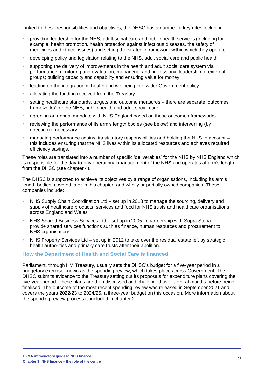Linked to these responsibilities and objectives, the DHSC has a number of key roles including:

- providing leadership for the NHS, adult social care and public health services (including for example, health promotion, health protection against infectious diseases, the safety of medicines and ethical issues) and setting the strategic framework within which they operate
- developing policy and legislation relating to the NHS, adult social care and public health
- supporting the delivery of improvements in the health and adult social care system via performance monitoring and evaluation; managerial and professional leadership of external groups; building capacity and capability and ensuring value for money
- leading on the integration of health and wellbeing into wider Government policy
- allocating the funding received from the Treasury
- setting healthcare standards, targets and outcome measures there are separate 'outcomes frameworks' for the NHS, public health and adult social care
- agreeing an annual mandate with NHS England based on these outcomes frameworks
- reviewing the performance of its arm's length bodies (see below) and intervening (by direction) if necessary
- managing performance against its statutory responsibilities and holding the NHS to account this includes ensuring that the NHS lives within its allocated resources and achieves required efficiency savings.

These roles are translated into a number of specific 'deliverables' for the NHS by NHS England which is responsible for the day-to-day operational management of the NHS and operates at arm's length from the DHSC (see chapter 4).

The DHSC is supported to achieve its objectives by a range of organisations, including its arm's length bodies, covered later in this chapter, and wholly or partially owned companies. These companies include:

- NHS Supply Chain Coordination Ltd set up in 2018 to manage the sourcing, delivery and supply of healthcare products, services and food for NHS trusts and healthcare organisations across England and Wales.
- NHS Shared Business Services Ltd set up in 2005 in partnership with Sopra Steria to provide shared services functions such as finance, human resources and procurement to NHS organisations.
- NHS Property Services Ltd set up in 2012 to take over the residual estate left by strategic health authorities and primary care trusts after their abolition.

#### **How the Department of Health and Social Care is financed**

Parliament, through HM Treasury, usually sets the DHSC's budget for a five-year period in a budgetary exercise known as the spending review, which takes place across Government. The DHSC submits evidence to the Treasury setting out its proposals for expenditure plans covering the five-year period. These plans are then discussed and challenged over several months before being finalised. The outcome of the most recent spending review was released in September 2021 and covers the years 2022/23 to 2024/25, a three-year budget on this occasion. More information about the spending review process is included in chapter 2.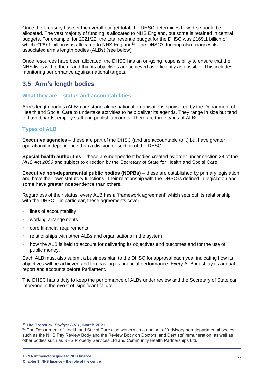Once the Treasury has set the overall budget total, the DHSC determines how this should be allocated. The vast majority of funding is allocated to NHS England, but some is retained in central budgets. For example, for 2021/22, the total revenue budget for the DHSC was £169.1 billion of which £139.1 billion was allocated to NHS England<sup>33</sup>. The DHSC's funding also finances its associated arm's length bodies (ALBs) (see below).

Once resources have been allocated, the DHSC has an on-going responsibility to ensure that the NHS lives within them, and that its objectives are achieved as efficiently as possible. This includes monitoring performance against national targets.

## **3.5 Arm's length bodies**

#### **What they are – status and accountabilities**

Arm's length bodies (ALBs) are stand-alone national organisations sponsored by the Department of Health and Social Care to undertake activities to help deliver its agenda. They range in size but tend to have boards, employ staff and publish accounts. There are three types of  $ALB^{34}$ .

## **Types of ALB**

**Executive agencies** – these are part of the DHSC (and are accountable to it) but have greater operational independence than a division or section of the DHSC.

**Special health authorities** – these are independent bodies created by order under section 28 of the *NHS Act 2006* and subject to direction by the Secretary of State for Health and Social Care.

**Executive non-departmental public bodies (NDPBs)** – these are established by primary legislation and have their own statutory functions. Their relationship with the DHSC is defined in legislation and some have greater independence than others.

Regardless of their status, every ALB has a 'framework agreement' which sets out its relationship with the DHSC – in particular, these agreements cover:

- lines of accountability
- working arrangements
- core financial requirements
- relationships with other ALBs and organisations in the system
- how the ALB is held to account for delivering its objectives and outcomes and for the use of public money.

Each ALB must also submit a business plan to the DHSC for approval each year indicating how its objectives will be achieved and forecasting its financial performance. Every ALB must lay its annual report and accounts before Parliament.

The DHSC has a duty to keep the performance of ALBs under review and the Secretary of State can intervene in the event of 'significant failure'.

<sup>33</sup> [HM Treasury,](https://www.gov.uk/government/publications/budget-2021-documents/budget-2021-html#financing) *Budget 2021*, March 2021

<sup>&</sup>lt;sup>34</sup> The Department of Health and Social Care also works with a number of 'advisory non-departmental bodies' such as the NHS Pay Review Body and the Review Body on Doctors' and Dentists' remuneration; as well as other bodies such as NHS Property Services Ltd and Community Health Partnerships Ltd.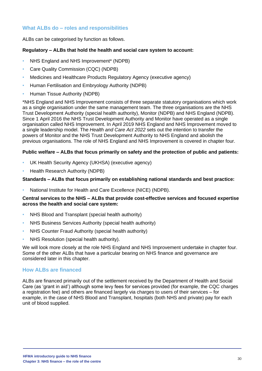### **What ALBs do – roles and responsibilities**

ALBs can be categorised by function as follows.

#### **Regulatory – ALBs that hold the health and social care system to account:**

- NHS England and NHS Improvement\* (NDPB)
- Care Quality Commission (CQC) (NDPB)
- Medicines and Healthcare Products Regulatory Agency (executive agency)
- Human Fertilisation and Embryology Authority (NDPB)
- Human Tissue Authority (NDPB)

\*NHS England and NHS Improvement consists of three separate statutory organisations which work as a single organisation under the same management team. The three organisations are the NHS Trust Development Authority (special health authority), Monitor (NDPB) and NHS England (NDPB). Since 1 April 2016 the NHS Trust Development Authority and Monitor have operated as a single organisation called NHS Improvement. In April 2019 NHS England and NHS Improvement moved to a single leadership model. The *Health and Care Act 2022* sets out the intention to transfer the powers of Monitor and the NHS Trust Development Authority to NHS England and abolish the previous organisations. The role of NHS England and NHS Improvement is covered in chapter four.

#### **Public welfare – ALBs that focus primarily on safety and the protection of public and patients:**

- UK Health Security Agency (UKHSA) (executive agency)
- Health Research Authority (NDPB)

#### **Standards – ALBs that focus primarily on establishing national standards and best practice:**

• National Institute for Health and Care Excellence (NICE) (NDPB).

#### **Central services to the NHS – ALBs that provide cost-effective services and focused expertise across the health and social care system:**

- NHS Blood and Transplant (special health authority)
- NHS Business Services Authority (special health authority)
- NHS Counter Fraud Authority (special health authority)
- NHS Resolution (special health authority).

We will look more closely at the role NHS England and NHS Improvement undertake in chapter four. Some of the other ALBs that have a particular bearing on NHS finance and governance are considered later in this chapter.

#### **How ALBs are financed**

ALBs are financed primarily out of the settlement received by the Department of Health and Social Care (as 'grant in aid') although some levy fees for services provided (for example, the CQC charges a registration fee) and others are financed largely via charges to users of their services – for example, in the case of NHS Blood and Transplant, hospitals (both NHS and private) pay for each unit of blood supplied.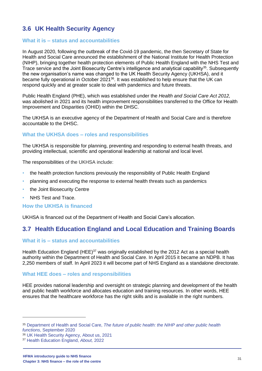## **3.6 UK Health Security Agency**

#### **What it is – status and accountabilities**

In August 2020, following the outbreak of the Covid-19 pandemic, the then Secretary of State for Health and Social Care announced the establishment of the National Institute for Health Protection (NIHP), bringing together health protection elements of Public Health England with the NHS Test and Trace service and the Joint Biosecurity Centre's intelligence and analytical capability<sup>35</sup>. Subsequently the new organisation's name was changed to the UK Health Security Agency (UKHSA), and it became fully operational in October 2021<sup>36</sup>. It was established to help ensure that the UK can respond quickly and at greater scale to deal with pandemics and future threats.

Public Health England (PHE), which was established under the *Health and Social Care Act 2012,*  was abolished in 2021 and its health improvement responsibilities transferred to the Office for Health Improvement and Disparities (OHID) within the DHSC.

The UKHSA is an executive agency of the Department of Health and Social Care and is therefore accountable to the DHSC.

#### **What the UKHSA does – roles and responsibilities**

The UKHSA is responsible for planning, preventing and responding to external health threats, and providing intellectual, scientific and operational leadership at national and local level.

The responsibilities of the UKHSA include:

- the health protection functions previously the responsibility of Public Health England
- planning and executing the response to external health threats such as pandemics
- the [Joint Biosecurity Centre](https://en.wikipedia.org/wiki/Joint_Biosecurity_Centre)
- [NHS Test and Trace.](https://en.wikipedia.org/wiki/NHS_Test_and_Trace)

#### **How the UKHSA is financed**

UKHSA is financed out of the Department of Health and Social Care's allocation.

## **3.7 Health Education England and Local Education and Training Boards**

#### **What it is – status and accountabilities**

Health Education England (HEE)<sup>37</sup> was originally established by the 2012 Act as a special health authority within the Department of Health and Social Care. In April 2015 it became an NDPB. It has 2,250 members of staff. In April 2023 it will become part of NHS England as a standalone directorate.

#### **What HEE does – roles and responsibilities**

HEE provides national leadership and oversight on strategic planning and development of the health and public health workforce and allocates education and training resources. In other words, HEE ensures that the healthcare workforce has the right skills and is available in the right numbers.

<sup>35</sup> Department of Health and Social Care, *[The future of public health: the NIHP and other public health](https://www.gov.uk/government/publications/the-future-of-public-health-the-nihp-and-other-public-health-functions)  functions*[, September 2020](https://www.gov.uk/government/publications/the-future-of-public-health-the-nihp-and-other-public-health-functions)

<sup>36</sup> [UK Health Security Agency, About us, 2021](https://www.gov.uk/government/organisations/uk-health-security-agency/about)

<sup>37</sup> [Health Education England,](https://www.hee.nhs.uk/about) *About,* 2022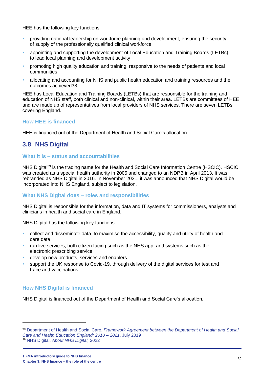HEE has the following key functions:

- providing national leadership on workforce planning and development, ensuring the security of supply of the professionally qualified clinical workforce
- appointing and supporting the development of Local Education and Training Boards (LETBs) to lead local planning and development activity
- promoting high quality education and training, responsive to the needs of patients and local communities
- allocating and accounting for NHS and public health education and training resources and the outcomes achieved38.

HEE has Local Education and Training Boards (LETBs) that are responsible for the training and education of NHS staff, both clinical and non-clinical, within their area. LETBs are committees of HEE and are made up of representatives from local providers of NHS services. There are seven LETBs covering England.

#### **How HEE is financed**

HEE is financed out of the Department of Health and Social Care's allocation.

## **3.8 NHS Digital**

#### **What it is – status and accountabilities**

NHS Digital<sup>39</sup> is the trading name for the Health and Social Care Information Centre (HSCIC). HSCIC was created as a special health authority in 2005 and changed to an NDPB in April 2013. It was rebranded as NHS Digital in 2016. In November 2021, it was announced that NHS Digital would be incorporated into NHS England, subject to legislation.

#### **What NHS Digital does – roles and responsibilities**

NHS Digital is responsible for the information, data and IT systems for commissioners, analysts and clinicians in health and social care in England.

NHS Digital has the following key functions:

- collect and disseminate data, to maximise the accessibility, quality and utility of health and care data
- run live services, both citizen facing such as the NHS app, and systems such as the electronic prescribing service
- develop new products, services and enablers
- support the UK response to Covid-19, through delivery of the digital services for test and trace and vaccinations.

#### **How NHS Digital is financed**

NHS Digital is financed out of the Department of Health and Social Care's allocation.

<sup>38</sup> Department of Health and Social Care, *[Framework Agreement between the Department of Health and](https://assets.publishing.service.gov.uk/government/uploads/system/uploads/attachment_data/file/815826/framework-agreement-hee-dhsc-2018-to-2021.pdf) Social [Care and Health Education England: 2018 –](https://assets.publishing.service.gov.uk/government/uploads/system/uploads/attachment_data/file/815826/framework-agreement-hee-dhsc-2018-to-2021.pdf) 2021*, July 2019 <sup>39</sup> NHS Digital, *[About NHS Digital,](https://digital.nhs.uk/about-nhs-digital)* 2022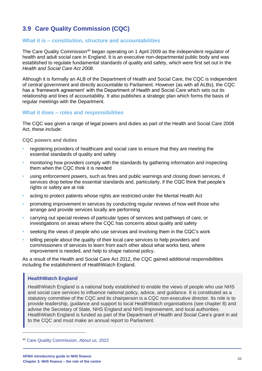## **3.9 Care Quality Commission (CQC)**

#### **What it is – constitution, structure and accountabilities**

The Care Quality Commission<sup>40</sup> began operating on 1 April 2009 as the independent regulator of health and adult social care in England. It is an executive non-departmental public body and was established to regulate fundamental standards of quality and safety, which were first set out in the *Health and Social Care Act 2008*.

Although it is formally an ALB of the Department of Health and Social Care, the CQC is independent of central government and directly accountable to Parliament. However (as with all ALBs), the CQC has a 'framework agreement' with the Department of Health and Social Care which sets out its relationship and lines of accountability. It also publishes a strategic plan which forms the basis of regular meetings with the Department.

#### **What it does – roles and responsibilities**

The CQC was given a range of legal powers and duties as part of the Health and Social Care 2008 Act, these include:

**CQC powers and duties** 

- registering providers of healthcare and social care to ensure that they are meeting the essential standards of quality and safety
- monitoring how providers comply with the standards by gathering information and inspecting them when the CQC think it is needed
- using enforcement powers, such as fines and public warnings and closing down services, if services drop below the essential standards and, particularly, if the CQC think that people's rights or safety are at risk
- acting to protect patients whose rights are restricted under the Mental Health Act
- promoting improvement in services by conducting regular reviews of how well those who arrange and provide services locally are performing
- carrying out special reviews of particular types of services and pathways of care, or investigations on areas where the CQC has concerns about quality and safety
- seeking the views of people who use services and involving them in the CQC's work
- telling people about the quality of their local care services to help providers and commissioners of services to learn from each other about what works best, where improvement is needed, and help to shape national policy.

As a result of the Health and Social Care Act 2012, the CQC gained additional responsibilities including the establishment of HealthWatch England.

#### **HealthWatch England**

HealthWatch England is a national body established to enable the views of people who use NHS and social care services to influence national policy, advice, and guidance. It is constituted as a statutory committee of the CQC and its chairperson is a CQC non-executive director. Its role is to provide leadership, guidance and support to local HealthWatch organisations (see chapter 8) and advise the Secretary of State, NHS England and NHS Improvement, and local authorities. HealthWatch England is funded as part of the Department of Health and Social Care's grant in aid to the CQC and must make an annual report to Parliament.

<sup>40</sup> [Care Quality Commission,](https://www.cqc.org.uk/about-us) *About us,* 2022